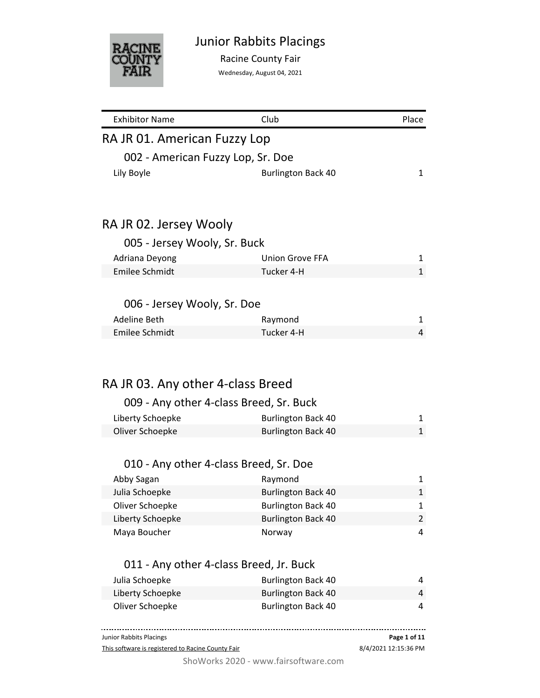

Racine County Fair

Wednesday, August 04, 2021

| <b>Exhibitor Name</b>                             | Club                                 | Place                |
|---------------------------------------------------|--------------------------------------|----------------------|
| RA JR 01. American Fuzzy Lop                      |                                      |                      |
| 002 - American Fuzzy Lop, Sr. Doe                 |                                      |                      |
| Lily Boyle                                        | <b>Burlington Back 40</b>            | 1                    |
|                                                   |                                      |                      |
|                                                   |                                      |                      |
| RA JR 02. Jersey Wooly                            |                                      |                      |
| 005 - Jersey Wooly, Sr. Buck                      |                                      |                      |
| Adriana Deyong                                    | Union Grove FFA                      | 1                    |
| <b>Emilee Schmidt</b>                             | Tucker 4-H                           | $\mathbf{1}$         |
|                                                   |                                      |                      |
| 006 - Jersey Wooly, Sr. Doe                       |                                      |                      |
| <b>Adeline Beth</b>                               | Raymond                              | 1                    |
| <b>Emilee Schmidt</b>                             | Tucker 4-H                           | 4                    |
|                                                   |                                      |                      |
|                                                   |                                      |                      |
|                                                   |                                      |                      |
| RA JR 03. Any other 4-class Breed                 |                                      |                      |
| 009 - Any other 4-class Breed, Sr. Buck           |                                      |                      |
| Liberty Schoepke                                  | <b>Burlington Back 40</b>            | 1                    |
| Oliver Schoepke                                   | <b>Burlington Back 40</b>            | $\mathbf{1}$         |
|                                                   |                                      |                      |
| 010 - Any other 4-class Breed, Sr. Doe            |                                      |                      |
| Abby Sagan                                        | Raymond                              | 1                    |
| Julia Schoepke                                    | <b>Burlington Back 40</b>            | $\mathbf{1}$         |
| Oliver Schoepke                                   | <b>Burlington Back 40</b>            | 1                    |
| Liberty Schoepke                                  | <b>Burlington Back 40</b>            | 2                    |
| Maya Boucher                                      | Norway                               | 4                    |
|                                                   |                                      |                      |
| 011 - Any other 4-class Breed, Jr. Buck           |                                      |                      |
| Julia Schoepke                                    | <b>Burlington Back 40</b>            | 4                    |
| Liberty Schoepke                                  | <b>Burlington Back 40</b>            | 4                    |
| Oliver Schoepke                                   | <b>Burlington Back 40</b>            | 4                    |
|                                                   |                                      |                      |
| Junior Rabbits Placings                           |                                      | Page 1 of 11         |
| This software is registered to Racine County Fair |                                      | 8/4/2021 12:15:36 PM |
|                                                   | ShoWorks 2020 - www.fairsoftware.com |                      |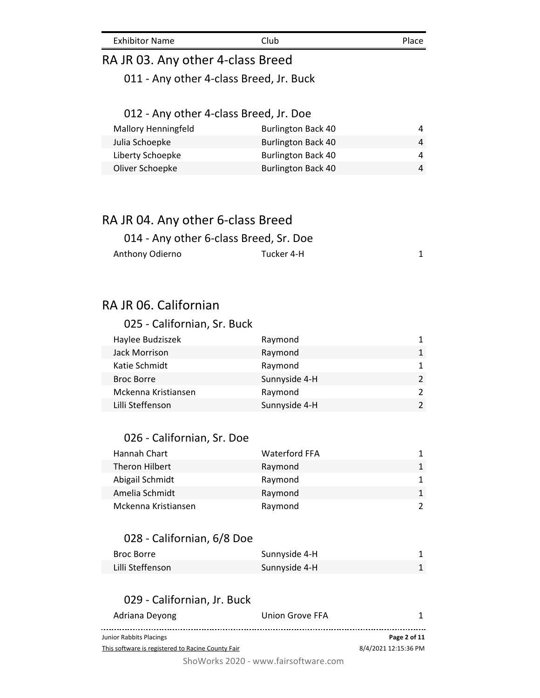# RA JR 03. Any other 4-class Breed

011 - Any other 4-class Breed, Jr. Buck

# 012 - Any other 4-class Breed, Jr. Doe

| <b>Mallory Henningfeld</b> | <b>Burlington Back 40</b> | Δ |
|----------------------------|---------------------------|---|
| Julia Schoepke             | <b>Burlington Back 40</b> | Λ |
| Liberty Schoepke           | <b>Burlington Back 40</b> | Λ |
| Oliver Schoepke            | <b>Burlington Back 40</b> | Λ |
|                            |                           |   |

## RA JR 04. Any other 6-class Breed

| 014 - Any other 6-class Breed, Sr. Doe |            |  |
|----------------------------------------|------------|--|
| Anthony Odierno                        | Tucker 4-H |  |

# RA JR 06. Californian

#### 025 - Californian, Sr. Buck

| Haylee Budziszek    | Raymond       | 1.            |
|---------------------|---------------|---------------|
| Jack Morrison       | Raymond       | 1             |
| Katie Schmidt       | Raymond       | 1             |
| <b>Broc Borre</b>   | Sunnyside 4-H | $\mathcal{P}$ |
| Mckenna Kristiansen | Raymond       | $\mathcal{P}$ |
| Lilli Steffenson    | Sunnyside 4-H | $\mathcal{P}$ |
|                     |               |               |

#### 026 - Californian, Sr. Doe

| Hannah Chart        | <b>Waterford FFA</b> | 1.            |
|---------------------|----------------------|---------------|
| Theron Hilbert      | Raymond              | 1             |
| Abigail Schmidt     | Raymond              | 1             |
| Amelia Schmidt      | Raymond              | 1             |
| Mckenna Kristiansen | Raymond              | $\mathcal{P}$ |

#### 028 - Californian, 6/8 Doe

| Broc Borre       | Sunnyside 4-H |  |
|------------------|---------------|--|
| Lilli Steffenson | Sunnyside 4-H |  |

#### 029 - Californian, Jr. Buck

| Adriana Deyong                                    | Union Grove FFA |                      |
|---------------------------------------------------|-----------------|----------------------|
| Junior Rabbits Placings                           |                 | Page 2 of 11         |
| This software is registered to Racine County Fair |                 | 8/4/2021 12:15:36 PM |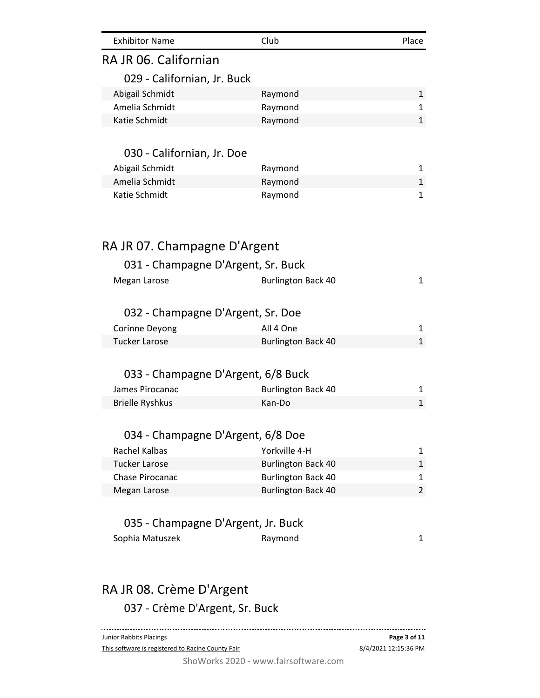| <b>Exhibitor Name</b>              | Club                      | Place        |
|------------------------------------|---------------------------|--------------|
| RA JR 06. Californian              |                           |              |
| 029 - Californian, Jr. Buck        |                           |              |
| Abigail Schmidt                    | Raymond                   | 1            |
| Amelia Schmidt                     | Raymond                   | $\mathbf{1}$ |
| Katie Schmidt                      | Raymond                   | $\mathbf{1}$ |
| 030 - Californian, Jr. Doe         |                           |              |
| Abigail Schmidt                    | Raymond                   | 1            |
| Amelia Schmidt                     | Raymond                   | $\mathbf{1}$ |
| Katie Schmidt                      | Raymond                   | 1            |
| RA JR 07. Champagne D'Argent       |                           |              |
| 031 - Champagne D'Argent, Sr. Buck |                           |              |
| Megan Larose                       | <b>Burlington Back 40</b> | 1            |
| 032 - Champagne D'Argent, Sr. Doe  |                           |              |
| Corinne Deyong                     | All 4 One                 | 1            |
| <b>Tucker Larose</b>               | <b>Burlington Back 40</b> | $\mathbf{1}$ |
| 033 - Champagne D'Argent, 6/8 Buck |                           |              |
| James Pirocanac                    | <b>Burlington Back 40</b> | 1            |
| <b>Brielle Ryshkus</b>             | Kan-Do                    | $\mathbf{1}$ |
| 034 - Champagne D'Argent, 6/8 Doe  |                           |              |
| Rachel Kalbas                      | Yorkville 4-H             | 1            |
| <b>Tucker Larose</b>               | <b>Burlington Back 40</b> | 1            |
| Chase Pirocanac                    | <b>Burlington Back 40</b> | 1            |
| Megan Larose                       | <b>Burlington Back 40</b> | 2            |
| 035 - Champagne D'Argent, Jr. Buck |                           |              |
| Sophia Matuszek                    | Raymond                   | 1            |
|                                    |                           |              |
| RA JR 08. Crème D'Argent           |                           |              |
| 037 - Crème D'Argent, Sr. Buck     |                           |              |
| Junior Rabbits Placings            |                           | Page 3 of 11 |

This software is registered to Racine County Fair

8/4/2021 12:15:36 PM **Page 3 of 11**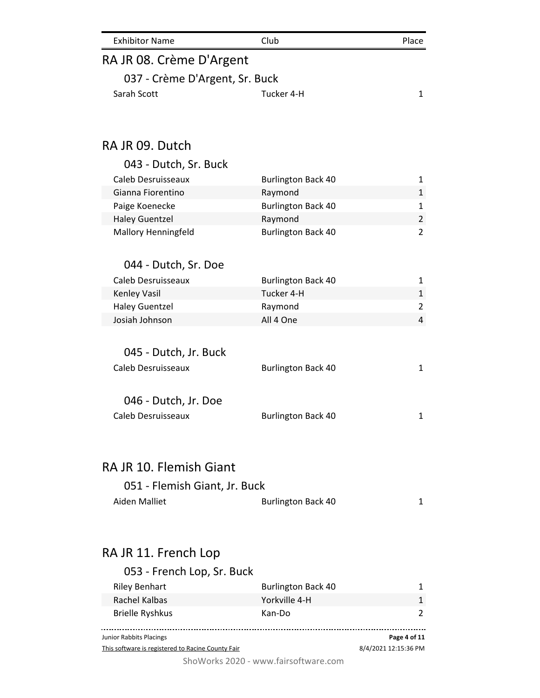| <b>Exhibitor Name</b>          | Club                      | Place          |
|--------------------------------|---------------------------|----------------|
| RA JR 08. Crème D'Argent       |                           |                |
| 037 - Crème D'Argent, Sr. Buck |                           |                |
| Sarah Scott                    | Tucker 4-H                | 1              |
|                                |                           |                |
| RAJR 09. Dutch                 |                           |                |
| 043 - Dutch, Sr. Buck          |                           |                |
| Caleb Desruisseaux             | <b>Burlington Back 40</b> | 1              |
| Gianna Fiorentino              | Raymond                   | $\mathbf 1$    |
| Paige Koenecke                 | <b>Burlington Back 40</b> | $\mathbf{1}$   |
| <b>Haley Guentzel</b>          | Raymond                   | $\overline{2}$ |
| <b>Mallory Henningfeld</b>     | <b>Burlington Back 40</b> | $\overline{2}$ |
| 044 - Dutch, Sr. Doe           |                           |                |
| Caleb Desruisseaux             | <b>Burlington Back 40</b> | 1              |
| Kenley Vasil                   | Tucker 4-H                | $\mathbf 1$    |
| <b>Haley Guentzel</b>          | Raymond                   | 2              |
| Josiah Johnson                 | All 4 One                 | 4              |
| 045 - Dutch, Jr. Buck          |                           |                |
| Caleb Desruisseaux             | <b>Burlington Back 40</b> | 1              |
|                                |                           |                |
| 046 - Dutch, Jr. Doe           |                           |                |
| Caleb Desruisseaux             | <b>Burlington Back 40</b> | 1              |
|                                |                           |                |
| RA JR 10. Flemish Giant        |                           |                |
| 051 - Flemish Giant, Jr. Buck  |                           |                |
| <b>Aiden Malliet</b>           | <b>Burlington Back 40</b> | 1              |
|                                |                           |                |
| RA JR 11. French Lop           |                           |                |
| 053 - French Lop, Sr. Buck     |                           |                |
|                                |                           |                |

| <b>Riley Benhart</b>                              | <b>Burlington Back 40</b> |                      |
|---------------------------------------------------|---------------------------|----------------------|
| Rachel Kalbas                                     | Yorkville 4-H             |                      |
| <b>Brielle Ryshkus</b>                            | Kan-Do                    |                      |
| Junior Rabbits Placings                           |                           | Page 4 of 11         |
| This software is registered to Racine County Fair |                           | 8/4/2021 12:15:36 PM |

This software is registered to Racine County Fair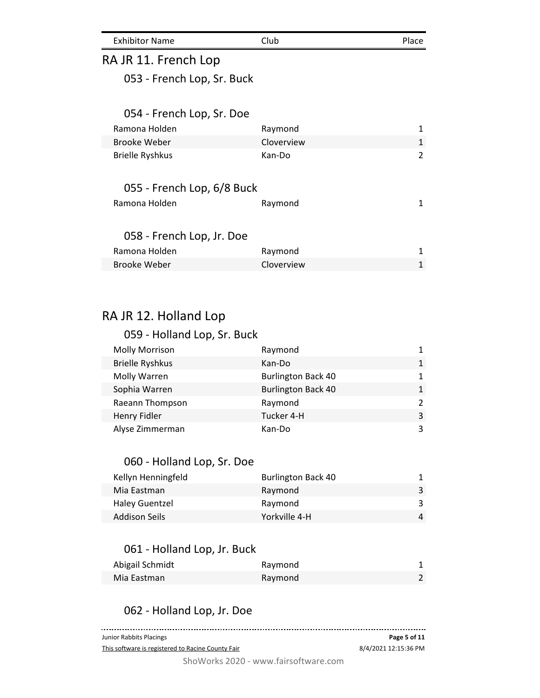| <b>Exhibitor Name</b><br>Club | Place |
|-------------------------------|-------|
|-------------------------------|-------|

## RA JR 11. French Lop

053 - French Lop, Sr. Buck

#### 054 - French Lop, Sr. Doe

| Ramona Holden          | Raymond    |  |
|------------------------|------------|--|
| Brooke Weber           | Cloverview |  |
| <b>Brielle Ryshkus</b> | Kan-Do     |  |

#### 055 - French Lop, 6/8 Buck

| Ramona Holden             | Raymond |  |
|---------------------------|---------|--|
| 058 - French Lop, Jr. Doe |         |  |

| Ramona Holden | Raymond           |  |
|---------------|-------------------|--|
| Brooke Weber  | <b>Cloverview</b> |  |

## RA JR 12. Holland Lop

#### 059 - Holland Lop, Sr. Buck Molly Morrison **Now Raymond** 1 Brielle Ryshkus Kan-Do 1 Molly Warren **Burlington Back 40** 1 Sophia Warren **Burlington Back 40** 1 Raeann Thompson **Raymond** Raymond 2 Henry Fidler **Tucker 4-H** 3 Alyse Zimmerman and Kan-Do 3

#### 060 - Holland Lop, Sr. Doe

| Kellyn Henningfeld    | <b>Burlington Back 40</b> |   |
|-----------------------|---------------------------|---|
| Mia Eastman           | Raymond                   |   |
| <b>Haley Guentzel</b> | Raymond                   |   |
| <b>Addison Seils</b>  | Yorkville 4-H             | 4 |

#### 061 - Holland Lop, Jr. Buck

| Abigail Schmidt | Raymond |  |
|-----------------|---------|--|
| Mia Eastman     | Raymond |  |

#### 062 - Holland Lop, Jr. Doe

| Junior Rabbits Placings                           | Page 5 of 11         |
|---------------------------------------------------|----------------------|
| This software is registered to Racine County Fair | 8/4/2021 12:15:36 PM |
|                                                   |                      |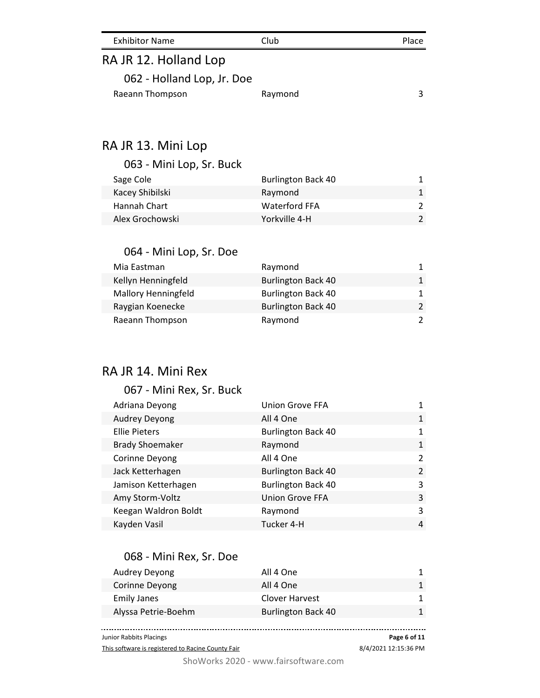| <b>Exhibitor Name</b> | Club. | Place |
|-----------------------|-------|-------|
| RAJR 12, Holland Lop  |       |       |

| A JR 12. HUIRTH LUD        |  |
|----------------------------|--|
| 062 - Holland Lop, Jr. Doe |  |

| Raeann Thompson | Raymond |  |
|-----------------|---------|--|

## RA JR 13. Mini Lop

063 - Mini Lop, Sr. Buck

| Sage Cole       | <b>Burlington Back 40</b> |  |
|-----------------|---------------------------|--|
| Kacey Shibilski | Raymond                   |  |
| Hannah Chart    | Waterford FFA             |  |
| Alex Grochowski | Yorkville 4-H             |  |

#### 064 - Mini Lop, Sr. Doe

| Mia Eastman                | Raymond                   |  |
|----------------------------|---------------------------|--|
| Kellyn Henningfeld         | <b>Burlington Back 40</b> |  |
| <b>Mallory Henningfeld</b> | <b>Burlington Back 40</b> |  |
| Raygian Koenecke           | <b>Burlington Back 40</b> |  |
| Raeann Thompson            | Raymond                   |  |

## RA JR 14. Mini Rex

#### 067 - Mini Rex, Sr. Buck

| Adriana Deyong         | <b>Union Grove FFA</b>    |                |
|------------------------|---------------------------|----------------|
| Audrey Deyong          | All 4 One                 | $\mathbf{1}$   |
| <b>Ellie Pieters</b>   | <b>Burlington Back 40</b> | 1              |
| <b>Brady Shoemaker</b> | Raymond                   | $\mathbf{1}$   |
| Corinne Deyong         | All 4 One                 | $\overline{2}$ |
| Jack Ketterhagen       | <b>Burlington Back 40</b> | $\mathcal{L}$  |
| Jamison Ketterhagen    | <b>Burlington Back 40</b> | 3              |
| Amy Storm-Voltz        | <b>Union Grove FFA</b>    | 3              |
| Keegan Waldron Boldt   | Raymond                   | 3              |
| Kayden Vasil           | Tucker 4-H                | 4              |
|                        |                           |                |

#### 068 - Mini Rex, Sr. Doe

| Audrey Deyong       | All 4 One                 |  |
|---------------------|---------------------------|--|
| Corinne Deyong      | All 4 One                 |  |
| <b>Emily Janes</b>  | Clover Harvest            |  |
| Alyssa Petrie-Boehm | <b>Burlington Back 40</b> |  |
|                     |                           |  |

Junior Rabbits Placings

This software is registered to Racine County Fair

8/4/2021 12:15:36 PM **Page 6 of 11**

. . . . . . . . . . . . . . .

. . . . . . . . . . .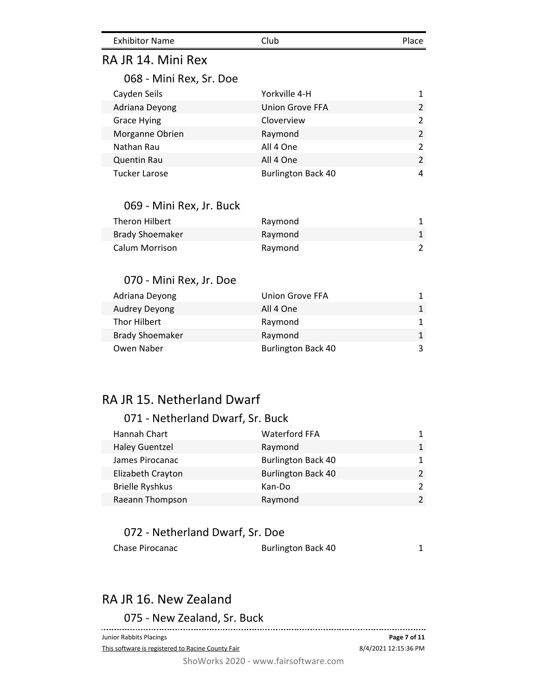| <b>Exhibitor Name</b> | Club | Place |
|-----------------------|------|-------|
|                       |      |       |

## RA JR 14. Mini Rex

#### 068 - Mini Rex, Sr. Doe

| Cayden Seils         | Yorkville 4-H             | 1             |
|----------------------|---------------------------|---------------|
| Adriana Deyong       | Union Grove FFA           | $\mathcal{P}$ |
| <b>Grace Hying</b>   | Cloverview                | 2             |
| Morganne Obrien      | Raymond                   | $\mathcal{P}$ |
| Nathan Rau           | All 4 One                 | $\mathcal{P}$ |
| <b>Quentin Rau</b>   | All 4 One                 | $\mathcal{P}$ |
| <b>Tucker Larose</b> | <b>Burlington Back 40</b> | 4             |

#### 069 - Mini Rex, Jr. Buck

| Theron Hilbert         | Raymond |  |
|------------------------|---------|--|
| <b>Brady Shoemaker</b> | Raymond |  |
| Calum Morrison         | Raymond |  |

### 070 - Mini Rex, Jr. Doe

| Adriana Deyong         | Union Grove FFA           |  |
|------------------------|---------------------------|--|
| <b>Audrey Deyong</b>   | All 4 One                 |  |
| Thor Hilbert           | Raymond                   |  |
| <b>Brady Shoemaker</b> | Raymond                   |  |
| Owen Naber             | <b>Burlington Back 40</b> |  |

# RA JR 15. Netherland Dwarf

#### 071 - Netherland Dwarf, Sr. Buck

| Hannah Chart           | <b>Waterford FFA</b>      | 1             |
|------------------------|---------------------------|---------------|
| <b>Haley Guentzel</b>  | Raymond                   | 1.            |
| James Pirocanac        | <b>Burlington Back 40</b> | 1.            |
| Elizabeth Crayton      | <b>Burlington Back 40</b> | $\mathcal{P}$ |
| <b>Brielle Ryshkus</b> | Kan-Do                    | $\mathcal{P}$ |
| Raeann Thompson        | Raymond                   | $\mathcal{P}$ |

### 072 - Netherland Dwarf, Sr. Doe

| Chase Pirocanac | <b>Burlington Back 40</b> |  |
|-----------------|---------------------------|--|
|                 |                           |  |

# RA JR 16. New Zealand

075 - New Zealand, Sr. Buck ------------------------------Junior Rabbits Placings **Page 7 of 11** 8/4/2021 12:15:36 PM This software is registered to Racine County Fair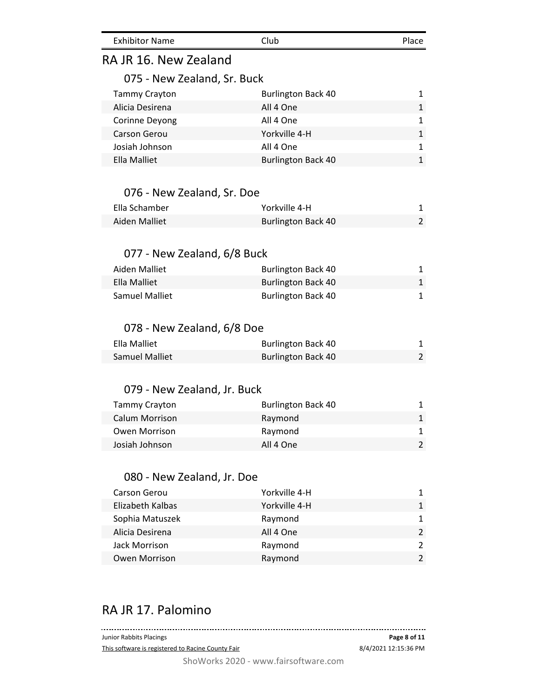| <b>Exhibitor Name</b> | Club | Place |
|-----------------------|------|-------|
|                       |      |       |

## RA JR 16. New Zealand

#### 075 - New Zealand, Sr. Buck

| <b>Tammy Crayton</b> | <b>Burlington Back 40</b> | 1.           |
|----------------------|---------------------------|--------------|
| Alicia Desirena      | All 4 One                 | 1            |
| Corinne Deyong       | All 4 One                 | $\mathbf{1}$ |
| Carson Gerou         | Yorkville 4-H             | 1            |
| Josiah Johnson       | All 4 One                 | 1            |
| Ella Malliet         | <b>Burlington Back 40</b> |              |

#### 076 - New Zealand, Sr. Doe

| Ella Schamber | Yorkville 4-H             |  |
|---------------|---------------------------|--|
| Aiden Malliet | <b>Burlington Back 40</b> |  |

#### 077 - New Zealand, 6/8 Buck

| Aiden Malliet  | <b>Burlington Back 40</b> |  |
|----------------|---------------------------|--|
| Ella Malliet   | <b>Burlington Back 40</b> |  |
| Samuel Malliet | <b>Burlington Back 40</b> |  |

#### 078 - New Zealand, 6/8 Doe

| Ella Malliet   | <b>Burlington Back 40</b> |  |
|----------------|---------------------------|--|
| Samuel Malliet | <b>Burlington Back 40</b> |  |

#### 079 - New Zealand, Jr. Buck

| <b>Tammy Crayton</b> | <b>Burlington Back 40</b> |  |
|----------------------|---------------------------|--|
| Calum Morrison       | Raymond                   |  |
| Owen Morrison        | Raymond                   |  |
| Josiah Johnson       | All 4 One                 |  |

#### 080 - New Zealand, Jr. Doe

| <b>Carson Gerou</b>  | Yorkville 4-H |               |
|----------------------|---------------|---------------|
| Elizabeth Kalbas     | Yorkville 4-H |               |
| Sophia Matuszek      | Raymond       |               |
| Alicia Desirena      | All 4 One     | $\mathcal{P}$ |
| Jack Morrison        | Raymond       |               |
| <b>Owen Morrison</b> | Raymond       |               |

## RA JR 17. Palomino

| Junior Rabbits Placings                           | Page 8 of 11         |
|---------------------------------------------------|----------------------|
| This software is registered to Racine County Fair | 8/4/2021 12:15:36 PM |
| ShoWorks 2020 - www.fairsoftware.com              |                      |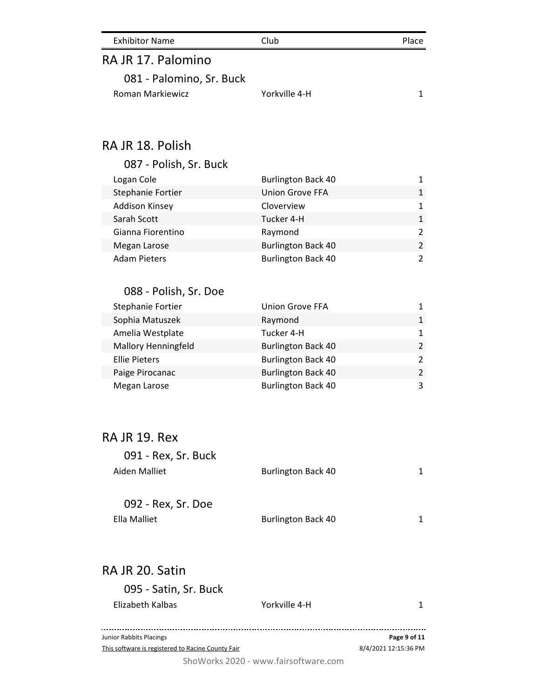| <b>Exhibitor Name</b>    | Club          | Place |
|--------------------------|---------------|-------|
| RA JR 17. Palomino       |               |       |
| 081 - Palomino, Sr. Buck |               |       |
| Roman Markiewicz         | Yorkville 4-H |       |

# RA JR 18. Polish

| 087 - Polish, Sr. Buck |                           |               |
|------------------------|---------------------------|---------------|
| Logan Cole             | <b>Burlington Back 40</b> |               |
| Stephanie Fortier      | <b>Union Grove FFA</b>    | 1             |
| <b>Addison Kinsey</b>  | Cloverview                | 1             |
| Sarah Scott            | Tucker 4-H                | 1             |
| Gianna Fiorentino      | Raymond                   | $\mathcal{P}$ |
| Megan Larose           | <b>Burlington Back 40</b> | $\mathcal{P}$ |
| <b>Adam Pieters</b>    | <b>Burlington Back 40</b> | $\mathcal{P}$ |

#### 088 - Polish, Sr. Doe

| Stephanie Fortier    | <b>Union Grove FFA</b>    | 1.             |
|----------------------|---------------------------|----------------|
| Sophia Matuszek      | Raymond                   | 1              |
| Amelia Westplate     | Tucker 4-H                | 1              |
| Mallory Henningfeld  | <b>Burlington Back 40</b> | $\overline{2}$ |
| <b>Ellie Pieters</b> | <b>Burlington Back 40</b> | $\mathcal{P}$  |
| Paige Pirocanac      | <b>Burlington Back 40</b> | $\mathcal{P}$  |
| Megan Larose         | <b>Burlington Back 40</b> | 3              |

## RA JR 19. Rex

| 091 - Rex, Sr. Buck |                           |   |
|---------------------|---------------------------|---|
| Aiden Malliet       | <b>Burlington Back 40</b> | 1 |
| 092 - Rex, Sr. Doe  |                           |   |

| Ella Malliet | <b>Burlington Back 40</b> |  |
|--------------|---------------------------|--|

## RA JR 20. Satin

| 095 - Satin, Sr. Buck                             |                                      |                      |
|---------------------------------------------------|--------------------------------------|----------------------|
| Elizabeth Kalbas                                  | Yorkville 4-H                        |                      |
|                                                   |                                      |                      |
| Junior Rabbits Placings                           |                                      | Page 9 of 11         |
| This software is registered to Racine County Fair |                                      | 8/4/2021 12:15:36 PM |
|                                                   | ShoWorks 2020 - www.fairsoftware.com |                      |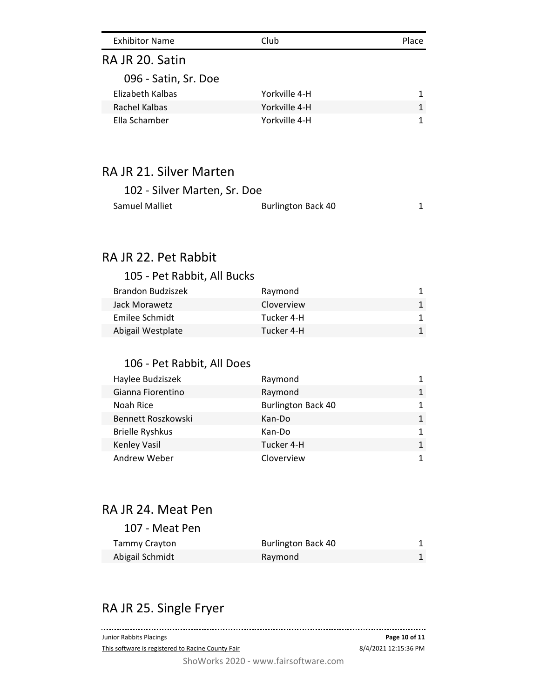| <b>Exhibitor Name</b> | Club          | Place |
|-----------------------|---------------|-------|
| RA JR 20. Satin       |               |       |
| 096 - Satin, Sr. Doe  |               |       |
| Elizabeth Kalbas      | Yorkville 4-H |       |
| Rachel Kalbas         | Yorkville 4-H | 1     |
| Ella Schamber         | Yorkville 4-H |       |

# RA JR 21. Silver Marten

| 102 - Silver Marten, Sr. Doe |                           |  |
|------------------------------|---------------------------|--|
| Samuel Malliet               | <b>Burlington Back 40</b> |  |

# RA JR 22. Pet Rabbit

## 105 - Pet Rabbit, All Bucks

| <b>Brandon Budziszek</b> | Raymond    |  |
|--------------------------|------------|--|
| Jack Morawetz            | Cloverview |  |
| Emilee Schmidt           | Tucker 4-H |  |
| Abigail Westplate        | Tucker 4-H |  |

## 106 - Pet Rabbit, All Does

| Haylee Budziszek       | Raymond                   | 1 |
|------------------------|---------------------------|---|
| Gianna Fiorentino      | Raymond                   | 1 |
| Noah Rice              | <b>Burlington Back 40</b> | 1 |
| Bennett Roszkowski     | Kan-Do                    | 1 |
| <b>Brielle Ryshkus</b> | Kan-Do                    | 1 |
| Kenley Vasil           | Tucker 4-H                | 1 |
| Andrew Weber           | Cloverview                |   |

## RA JR 24. Meat Pen

#### 107 - Meat Pen

| Tammy Crayton   | <b>Burlington Back 40</b> |  |
|-----------------|---------------------------|--|
| Abigail Schmidt | Raymond                   |  |

# RA JR 25. Single Fryer

| Junior Rabbits Placings                           | Page 10 of 11        |
|---------------------------------------------------|----------------------|
| This software is registered to Racine County Fair | 8/4/2021 12:15:36 PM |
| ShoWorks 2020 - www.fairsoftware.com              |                      |